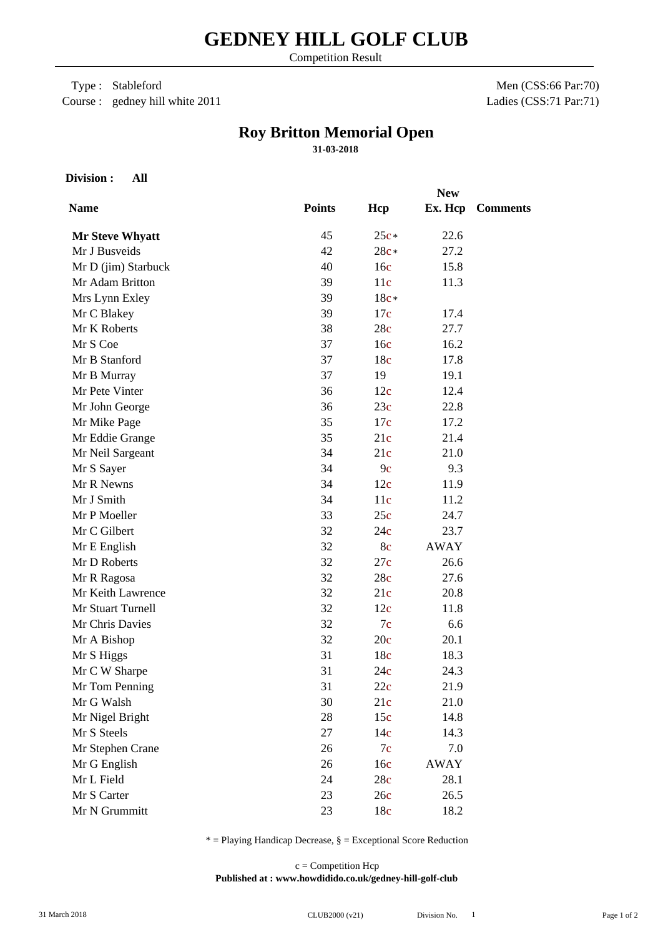Competition Result

 Type : Stableford Course : gedney hill white 2011

Men (CSS:66 Par:70) Ladies (CSS:71 Par:71)

## **Roy Britton Memorial Open**

**31-03-2018**

**Division : All**

|                        | <b>New</b>    |        |             |                 |  |
|------------------------|---------------|--------|-------------|-----------------|--|
| <b>Name</b>            | <b>Points</b> | Hcp    | Ex. Hcp     | <b>Comments</b> |  |
| <b>Mr Steve Whyatt</b> | 45            | $25c*$ | 22.6        |                 |  |
| Mr J Busveids          | 42            | 28c*   | 27.2        |                 |  |
| Mr D (jim) Starbuck    | 40            | 16c    | 15.8        |                 |  |
| Mr Adam Britton        | 39            | 11c    | 11.3        |                 |  |
| Mrs Lynn Exley         | 39            | $18c*$ |             |                 |  |
| Mr C Blakey            | 39            | 17c    | 17.4        |                 |  |
| Mr K Roberts           | 38            | 28c    | 27.7        |                 |  |
| Mr S Coe               | 37            | 16c    | 16.2        |                 |  |
| Mr B Stanford          | 37            | 18c    | 17.8        |                 |  |
| Mr B Murray            | 37            | 19     | 19.1        |                 |  |
| Mr Pete Vinter         | 36            | 12c    | 12.4        |                 |  |
| Mr John George         | 36            | 23c    | 22.8        |                 |  |
| Mr Mike Page           | 35            | 17c    | 17.2        |                 |  |
| Mr Eddie Grange        | 35            | 21c    | 21.4        |                 |  |
| Mr Neil Sargeant       | 34            | 21c    | 21.0        |                 |  |
| Mr S Sayer             | 34            | 9c     | 9.3         |                 |  |
| Mr R Newns             | 34            | 12c    | 11.9        |                 |  |
| Mr J Smith             | 34            | 11c    | 11.2        |                 |  |
| Mr P Moeller           | 33            | 25c    | 24.7        |                 |  |
| Mr C Gilbert           | 32            | 24c    | 23.7        |                 |  |
| Mr E English           | 32            | 8c     | <b>AWAY</b> |                 |  |
| Mr D Roberts           | 32            | 27c    | 26.6        |                 |  |
| Mr R Ragosa            | 32            | 28c    | 27.6        |                 |  |
| Mr Keith Lawrence      | 32            | 21c    | 20.8        |                 |  |
| Mr Stuart Turnell      | 32            | 12c    | 11.8        |                 |  |
| Mr Chris Davies        | 32            | 7c     | 6.6         |                 |  |
| Mr A Bishop            | 32            | 20c    | 20.1        |                 |  |
| Mr S Higgs             | 31            | 18c    | 18.3        |                 |  |
| Mr C W Sharpe          | 31            | 24c    | 24.3        |                 |  |
| Mr Tom Penning         | 31            | 22c    | 21.9        |                 |  |
| Mr G Walsh             | 30            | 21c    | 21.0        |                 |  |
| Mr Nigel Bright        | 28            | 15c    | 14.8        |                 |  |
| Mr S Steels            | 27            | 14c    | 14.3        |                 |  |
| Mr Stephen Crane       | 26            | 7c     | 7.0         |                 |  |
| Mr G English           | 26            | 16c    | <b>AWAY</b> |                 |  |
| Mr L Field             | 24            | 28c    | 28.1        |                 |  |
| Mr S Carter            | 23            | 26c    | 26.5        |                 |  |
| Mr N Grummitt          | 23            | 18c    | 18.2        |                 |  |

 $*$  = Playing Handicap Decrease,  $\S$  = Exceptional Score Reduction

**Published at : www.howdidido.co.uk/gedney-hill-golf-club** c = Competition Hcp